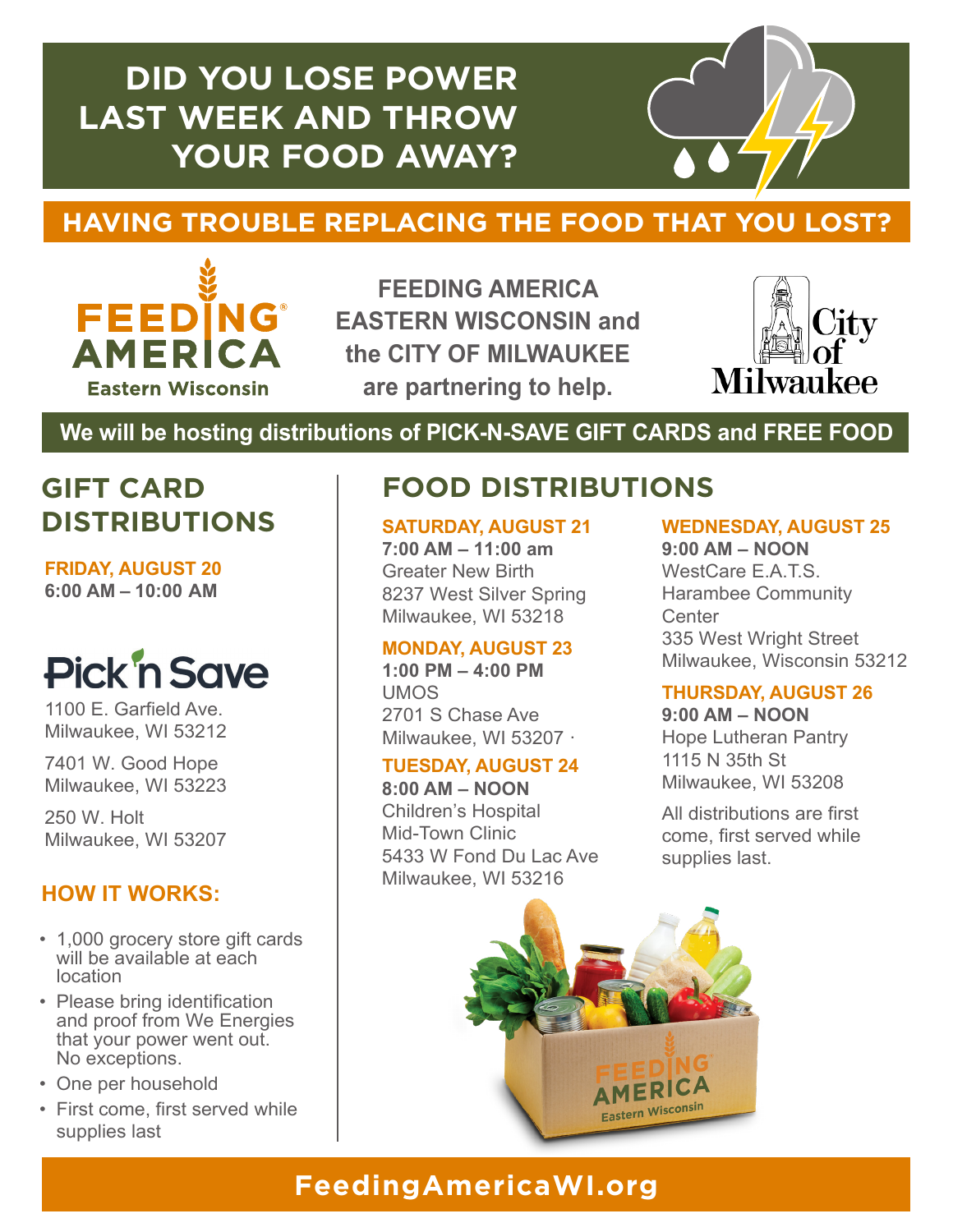## **DID YOU LOSE POWER LAST WEEK AND THROW YOUR FOOD AWAY?**

## **HAVING TROUBLE REPLACING THE FOOD THAT YOU LOST?**



**FEEDING AMERICA EASTERN WISCONSIN and the CITY OF MILWAUKEE are partnering to help.** 



#### **We will be hosting distributions of PICK-N-SAVE GIFT CARDS and FREE FOOD**

# **DISTRIBUTIONS**

**FRIDAY, AUGUST 20 6:00 AM – 10:00 AM**

# **Pick'n Save**

1100 E. Garfield Ave. Milwaukee, WI 53212

7401 W. Good Hope Milwaukee, WI 53223

250 W. Holt Milwaukee, WI 53207

#### **HOW IT WORKS:**

- 1,000 grocery store gift cards will be available at each location
- Please bring identification and proof from We Energies that your power went out. No exceptions.
- One per household
- First come, first served while supplies last

## **GIFT CARD FOOD DISTRIBUTIONS**

#### **SATURDAY, AUGUST 21**

**7:00 AM – 11:00 am** Greater New Birth 8237 West Silver Spring Milwaukee, WI 53218

#### **MONDAY, AUGUST 23**

**1:00 PM – 4:00 PM** UMOS 2701 S Chase Ave Milwaukee, WI 53207 ·

#### **TUESDAY, AUGUST 24**

**8:00 AM – NOON** Children's Hospital Mid-Town Clinic 5433 W Fond Du Lac Ave Milwaukee, WI 53216

#### **WEDNESDAY, AUGUST 25**

**9:00 AM – NOON** WestCare F A T S Harambee Community **Center** 335 West Wright Street Milwaukee, Wisconsin 53212

#### **THURSDAY, AUGUST 26**

**9:00 AM – NOON** Hope Lutheran Pantry 1115 N 35th St Milwaukee, WI 53208

All distributions are first come, first served while supplies last.



## **[FeedingAmericaWI.org](http://FeedingAmericaWI.org)**